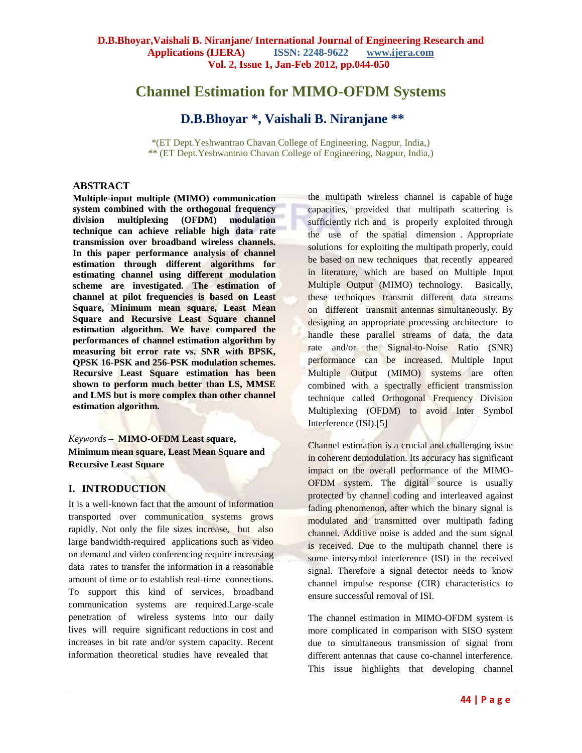## **Channel Estimation for MIMO-OFDM Systems**

## **D.B.Bhoyar \*, Vaishali B. Niranjane \*\***

\*(ET Dept.Yeshwantrao Chavan College of Engineering, Nagpur, India,) \*\* (ET Dept.Yeshwantrao Chavan College of Engineering, Nagpur, India,)

### **ABSTRACT**

**Multiple-input multiple (MIMO) communication system combined with the orthogonal frequency division multiplexing (OFDM) modulation technique can achieve reliable high data rate transmission over broadband wireless channels. In this paper performance analysis of channel estimation through different algorithms for estimating channel using different modulation scheme are investigated. The estimation of channel at pilot frequencies is based on Least Square, Minimum mean square, Least Mean Square and Recursive Least Square channel estimation algorithm. We have compared the performances of channel estimation algorithm by measuring bit error rate vs. SNR with BPSK, QPSK 16-PSK and 256-PSK modulation schemes. Recursive Least Square estimation has been shown to perform much better than LS, MMSE and LMS but is more complex than other channel estimation algorithm.**

### *Keywords* **– MIMO-OFDM Least square, Minimum mean square, Least Mean Square and Recursive Least Square**

### **I. INTRODUCTION**

It is a well-known fact that the amount of information transported over communication systems grows rapidly. Not only the file sizes increase, but also large bandwidth-required applications such as video on demand and video conferencing require increasing data rates to transfer the information in a reasonable amount of time or to establish real-time connections. To support this kind of services, broadband communication systems are required.Large-scale penetration of wireless systems into our daily lives will require significant reductions in cost and increases in bit rate and/or system capacity. Recent information theoretical studies have revealed that

the multipath wireless channel is capable of huge capacities, provided that multipath scattering is sufficiently rich and is properly exploited through the use of the spatial dimension . Appropriate solutions for exploiting the multipath properly, could be based on new techniques that recently appeared in literature, which are based on Multiple Input Multiple Output (MIMO) technology. Basically, these techniques transmit different data streams on different transmit antennas simultaneously. By designing an appropriate processing architecture to handle these parallel streams of data, the data rate and/or the Signal-to-Noise Ratio (SNR) performance can be increased. Multiple Input Multiple Output (MIMO) systems are often combined with a spectrally efficient transmission technique called Orthogonal Frequency Division Multiplexing (OFDM) to avoid Inter Symbol Interference (ISI).[5]

Channel estimation is a crucial and challenging issue in coherent demodulation. Its accuracy has significant impact on the overall performance of the MIMO-OFDM system. The digital source is usually protected by channel coding and interleaved against fading phenomenon, after which the binary signal is modulated and transmitted over multipath fading channel. Additive noise is added and the sum signal is received. Due to the multipath channel there is some intersymbol interference (ISI) in the received signal. Therefore a signal detector needs to know channel impulse response (CIR) characteristics to ensure successful removal of ISI.

The channel estimation in MIMO-OFDM system is more complicated in comparison with SISO system due to simultaneous transmission of signal from different antennas that cause co-channel interference. This issue highlights that developing channel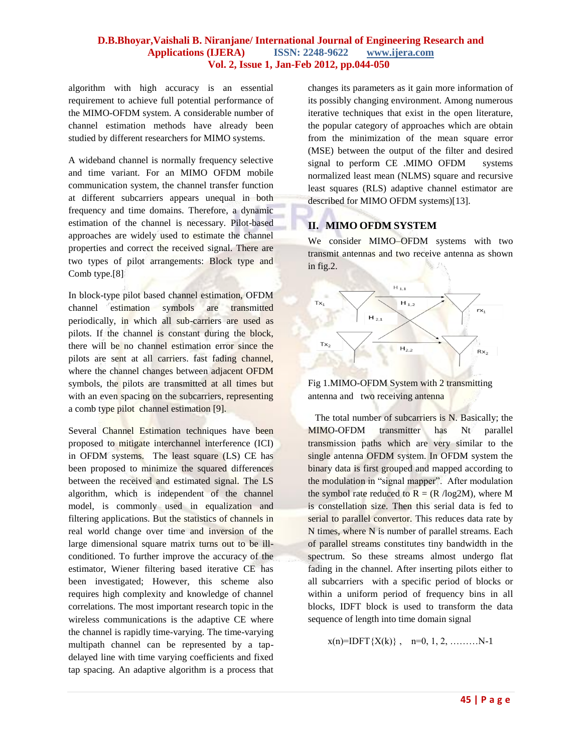algorithm with high accuracy is an essential requirement to achieve full potential performance of the MIMO-OFDM system. A considerable number of channel estimation methods have already been studied by different researchers for MIMO systems.

A wideband channel is normally frequency selective and time variant. For an MIMO OFDM mobile communication system, the channel transfer function at different subcarriers appears unequal in both frequency and time domains. Therefore, a dynamic estimation of the channel is necessary. Pilot-based approaches are widely used to estimate the channel properties and correct the received signal. There are two types of pilot arrangements: Block type and Comb type.[8]

In block-type pilot based channel estimation, OFDM channel estimation symbols are transmitted periodically, in which all sub-carriers are used as pilots. If the channel is constant during the block, there will be no channel estimation error since the pilots are sent at all carriers. fast fading channel, where the channel changes between adjacent OFDM symbols, the pilots are transmitted at all times but with an even spacing on the subcarriers, representing a comb type pilot channel estimation [9].

Several Channel Estimation techniques have been proposed to mitigate interchannel interference (ICI) in OFDM systems. The least square (LS) CE has been proposed to minimize the squared differences between the received and estimated signal. The LS algorithm, which is independent of the channel model, is commonly used in equalization and filtering applications. But the statistics of channels in real world change over time and inversion of the large dimensional square matrix turns out to be illconditioned. To further improve the accuracy of the estimator, Wiener filtering based iterative CE has been investigated; However, this scheme also requires high complexity and knowledge of channel correlations. The most important research topic in the wireless communications is the adaptive CE where the channel is rapidly time-varying. The time-varying multipath channel can be represented by a tapdelayed line with time varying coefficients and fixed tap spacing. An adaptive algorithm is a process that

changes its parameters as it gain more information of its possibly changing environment. Among numerous iterative techniques that exist in the open literature, the popular category of approaches which are obtain from the minimization of the mean square error (MSE) between the output of the filter and desired signal to perform CE .MIMO OFDM systems normalized least mean (NLMS) square and recursive least squares (RLS) adaptive channel estimator are described for MIMO OFDM systems)[13].

## **II. MIMO OFDM SYSTEM**

We consider MIMO–OFDM systems with two transmit antennas and two receive antenna as shown in fig.2.





 The total number of subcarriers is N. Basically; the MIMO-OFDM transmitter has Nt parallel transmission paths which are very similar to the single antenna OFDM system. In OFDM system the binary data is first grouped and mapped according to the modulation in "signal mapper". After modulation the symbol rate reduced to  $R = (R / log2M)$ , where M is constellation size. Then this serial data is fed to serial to parallel convertor. This reduces data rate by N times, where N is number of parallel streams. Each of parallel streams constitutes tiny bandwidth in the spectrum. So these streams almost undergo flat fading in the channel. After inserting pilots either to all subcarriers with a specific period of blocks or within a uniform period of frequency bins in all blocks, IDFT block is used to transform the data sequence of length into time domain signal

 $x(n)=IDFT\{X(k)\}\,$ ,  $n=0, 1, 2, \ldots \ldots \ldots N-1$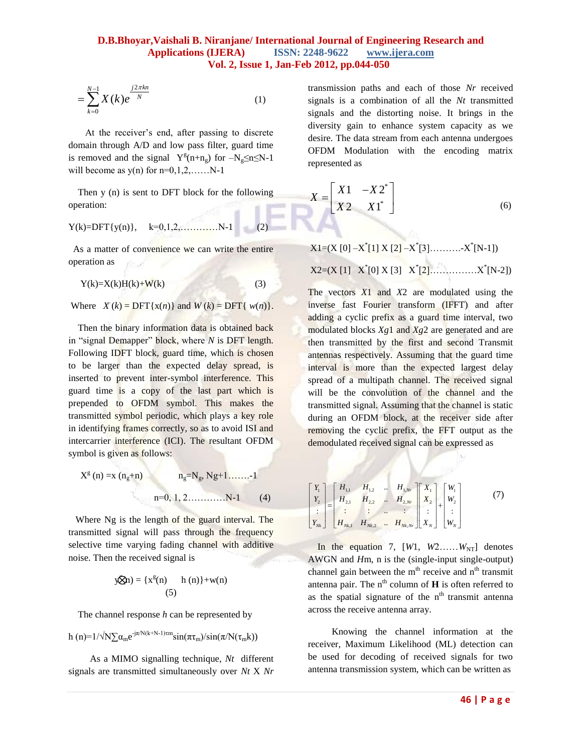$$
=\sum_{k=0}^{N-1} X(k)e^{\frac{j2\pi kn}{N}}
$$
 (1)

 At the receiver's end, after passing to discrete domain through A/D and low pass filter, guard time is removed and the signal  $Y^{g}(n+n_g)$  for  $-N_g \le n \le N-1$ will become as  $y(n)$  for  $n=0,1,2,......N-1$ 

 Then y (n) is sent to DFT block for the following operation:

$$
Y(k)=DFT{y(n)}, \t k=0,1,2,...,...,N-1
$$
 (2)

 As a matter of convenience we can write the entire operation as

$$
Y(k)=X(k)H(k)+W(k)
$$
 (3)

Where  $X(k) = \text{DFT}\{x(n)\}\$  and  $W(k) = \text{DFT}\{w(n)\}\$ .

Then the binary information data is obtained back in "signal Demapper" block, where *N* is DFT length. Following IDFT block, guard time, which is chosen to be larger than the expected delay spread, is inserted to prevent inter-symbol interference. This guard time is a copy of the last part which is prepended to OFDM symbol. This makes the transmitted symbol periodic, which plays a key role in identifying frames correctly, so as to avoid ISI and intercarrier interference (ICI). The resultant OFDM symbol is given as follows:

$$
X^{g}(n) = x (n_{g} + n)
$$
  
\n
$$
n_{g} = N_{g}, Ng + 1, \dots, -1
$$
  
\n
$$
n = 0, 1, 2, \dots, N - 1
$$
 (4)

 Where Ng is the length of the guard interval. The transmitted signal will pass through the frequency selective time varying fading channel with additive noise. Then the received signal is

$$
y\text{Rn}) = \{x^g(n) \quad h(n)\} + w(n)
$$
\n(5)

The channel response *h* can be represented by

$$
h\left(n\right) = 1/\sqrt{N\sum \alpha_{m}e^{-j\pi/N(k+N-1)\tau m}}sin(\pi\tau_{m})/sin(\pi/N(\tau_{m}k))
$$

 As a MIMO signalling technique, *Nt* different signals are transmitted simultaneously over *Nt* X *Nr*  transmission paths and each of those *Nr* received signals is a combination of all the *Nt* transmitted signals and the distorting noise. It brings in the diversity gain to enhance system capacity as we desire. The data stream from each antenna undergoes OFDM Modulation with the encoding matrix represented as

$$
X = \begin{bmatrix} X1 & -X2^* \\ X2 & X1^* \end{bmatrix} \tag{6}
$$

X1=(X [0] –X \* [1] X [2] –X \* [3]……….-X \* [N-1]) X2=(X [1] X\* [0] X [3] X\* [2]……………X\* [N-2])

 $\frac{1}{2}X(k)e^{ikx}$ <br> **4** Explansion paid and case hot disselve and consideration paid and consideration of all due Nr uncertainty<br>
De receiver's end, also possing to discuss and event be interted to discuss the receiver's en The vectors *X*1 and *X*2 are modulated using the inverse fast Fourier transform (IFFT) and after adding a cyclic prefix as a guard time interval, two modulated blocks *Xg*1 and *Xg*2 are generated and are then transmitted by the first and second Transmit antennas respectively. Assuming that the guard time interval is more than the expected largest delay spread of a multipath channel. The received signal will be the convolution of the channel and the transmitted signal. Assuming that the channel is static during an OFDM block, at the receiver side after removing the cyclic prefix, the FFT output as the demodulated received signal can be expressed as

$$
\begin{bmatrix} Y_1 \\ Y_2 \\ \vdots \\ Y_{N_k} \end{bmatrix} = \begin{bmatrix} H_{1,1} & H_{1,2} & \dots & H_{1,Nr} \\ H_{2,1} & H_{2,2} & \dots & H_{2,Nr} \\ \vdots & \vdots & \ddots & \vdots \\ H_{Nk,1} & H_{Nk,2} & \dots & H_{Nk,Nr} \end{bmatrix} \begin{bmatrix} X_1 \\ X_2 \\ \vdots \\ X_N \end{bmatrix} + \begin{bmatrix} W_1 \\ W_2 \\ \vdots \\ W_N \end{bmatrix}
$$
 (7)

In the equation 7,  $[W1, W2, \ldots, W_{NT}]$  denotes AWGN and *H*m, n is the (single-input single-output) channel gain between the  $m<sup>th</sup>$  receive and  $n<sup>th</sup>$  transmit antenna pair. The  $n^{th}$  column of **H** is often referred to as the spatial signature of the  $n<sup>th</sup>$  transmit antenna across the receive antenna array.

 Knowing the channel information at the receiver, Maximum Likelihood (ML) detection can be used for decoding of received signals for two antenna transmission system, which can be written as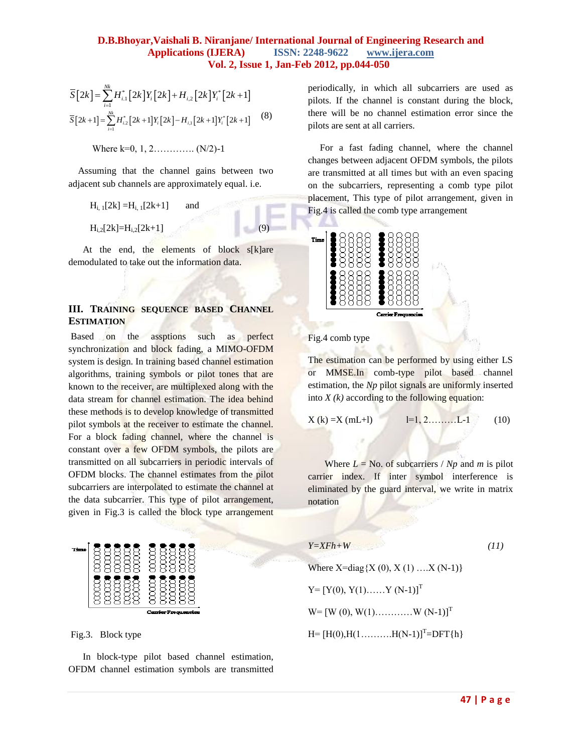$$
\overline{S}[2k] = \sum_{i=1}^{Nk} H_{i,1}^{*}[2k]Y_{i}[2k] + H_{i,2}[2k]Y_{i}^{*}[2k+1]
$$
  

$$
\overline{S}[2k+1] = \sum_{i=1}^{Nk} H_{i,2}^{*}[2k+1]Y_{i}[2k] - H_{i,1}[2k+1]Y_{i}^{*}[2k+1]
$$
 (8)

Where  $k=0, 1, 2, \ldots, (N/2)-1$ 

 Assuming that the channel gains between two adjacent sub channels are approximately equal. i.e.

$$
H_{i, 1}[2k] = H_{i, 1}[2k+1] \qquad \text{and}
$$
  

$$
H_{i, 2}[2k] = H_{i, 2}[2k+1]
$$
 (9)

At the end, the elements of block s[k]are demodulated to take out the information data.

### **III. TRAINING SEQUENCE BASED CHANNEL ESTIMATION**

Based on the assptions such as perfect synchronization and block fading, a MIMO-OFDM system is design. In training based channel estimation algorithms, training symbols or pilot tones that are known to the receiver, are multiplexed along with the data stream for channel estimation. The idea behind these methods is to develop knowledge of transmitted pilot symbols at the receiver to estimate the channel. For a block fading channel, where the channel is constant over a few OFDM symbols, the pilots are transmitted on all subcarriers in periodic intervals of OFDM blocks. The channel estimates from the pilot subcarriers are interpolated to estimate the channel at the data subcarrier. This type of pilot arrangement, given in Fig.3 is called the block type arrangement



Fig.3. Block type

 In block-type pilot based channel estimation, OFDM channel estimation symbols are transmitted periodically, in which all subcarriers are used as pilots. If the channel is constant during the block, there will be no channel estimation error since the pilots are sent at all carriers.

 For a fast fading channel, where the channel changes between adjacent OFDM symbols, the pilots are transmitted at all times but with an even spacing on the subcarriers, representing a comb type pilot placement, This type of pilot arrangement, given in Fig.4 is called the comb type arrangement



Fig.4 comb type

The estimation can be performed by using either LS or MMSE.In comb-type pilot based channel estimation, the *Np* pilot signals are uniformly inserted into  $X(k)$  according to the following equation:

$$
X (k) = X (mL+1) \qquad l=1, 2, \ldots, L-1 \qquad (10)
$$

Where  $L = No$ . of subcarriers / *Np* and *m* is pilot carrier index. If inter symbol interference is eliminated by the guard interval, we write in matrix notation

$$
Y = XFh + W \tag{11}
$$

Where  $X = diag\{X(0), X(1) \dots X(N-1)\}$  $Y=[Y(0), Y(1), \ldots, Y(N-1)]^{T}$  $W = [W (0), W(1), \dots, W (N-1)]^{T}$  $H = [H(0), H(1, \ldots, H(N-1))]^{T} = DFT\{h\}$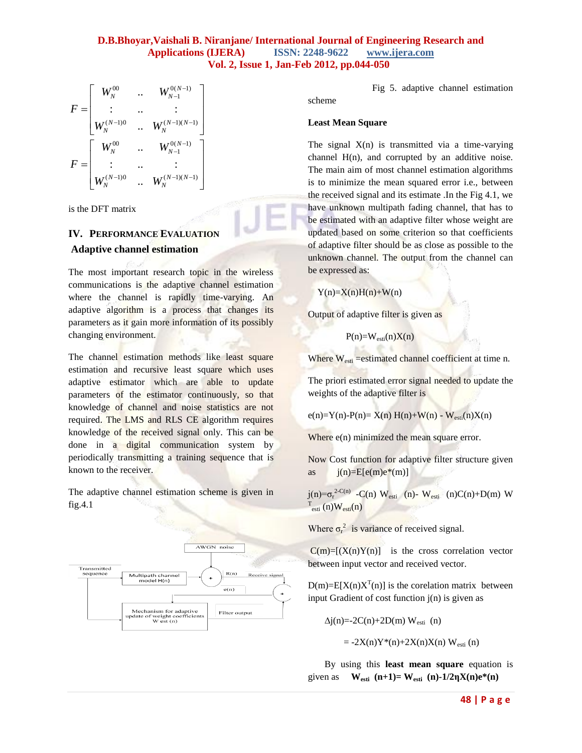$$
F = \begin{bmatrix} W_N^{00} & \cdots & W_{N-1}^{0(N-1)} \\ \vdots & \cdots & \vdots \\ W_N^{(N-1)0} & \cdots & W_N^{(N-1)(N-1)} \end{bmatrix}
$$

$$
F = \begin{bmatrix} W_N^{00} & \cdots & W_{N-1}^{0(N-1)} \\ \vdots & \cdots & \vdots \\ W_N^{(N-1)0} & \cdots & W_N^{(N-1)(N-1)} \end{bmatrix}
$$

is the DFT matrix

# **IV. PERFORMANCE EVALUATION**

## **Adaptive channel estimation**

The most important research topic in the wireless communications is the adaptive channel estimation where the channel is rapidly time-varying. An adaptive algorithm is a process that changes its parameters as it gain more information of its possibly changing environment.

The channel estimation methods like least square estimation and recursive least square which uses adaptive estimator which are able to update parameters of the estimator continuously, so that knowledge of channel and noise statistics are not required. The LMS and RLS CE algorithm requires knowledge of the received signal only. This can be done in a digital communication system by periodically transmitting a training sequence that is known to the receiver.

The adaptive channel estimation scheme is given in fig.4.1



Fig 5. adaptive channel estimation

### **Least Mean Square**

scheme

The signal  $X(n)$  is transmitted via a time-varying channel  $H(n)$ , and corrupted by an additive noise. The main aim of most channel estimation algorithms is to minimize the mean squared error i.e., between the received signal and its estimate .In the Fig 4.1, we have unknown multipath fading channel, that has to be estimated with an adaptive filter whose weight are updated based on some criterion so that coefficients of adaptive filter should be as close as possible to the unknown channel. The output from the channel can be expressed as:

 $Y(n)=X(n)H(n)+W(n)$ 

Output of adaptive filter is given as

 $P(n)=W_{\text{esti}}(n)X(n)$ 

Where  $W_{\text{esti}}$  =estimated channel coefficient at time n.

The priori estimated error signal needed to update the weights of the adaptive filter is

 $e(n)=Y(n)-P(n)=X(n) H(n)+W(n) - W_{esti}(n)X(n)$ 

Where  $e(n)$  minimized the mean square error.

Now Cost function for adaptive filter structure given as  $j(n)=E[e(m)e^{i\phi}(m)]$ 

 $j(n) = \sigma_r^{2-C(n)}$  -C(n) W<sub>esti</sub> (n)- W<sub>esti</sub> (n)C(n)+D(m) W  $T_{\text{esti}}(n)W_{\text{esti}}(n)$ 

Where  $\sigma_r^2$  is variance of received signal.

 $C(m)=[(X(n)Y(n)]$  is the cross correlation vector between input vector and received vector.

 $D(m)=E[X(n)X^{T}(n)]$  is the corelation matrix between input Gradient of cost function j(n) is given as

$$
\Delta j(n) = 2C(n) + 2D(m) W_{\text{esti}}(n)
$$

 $= -2X(n)Y^*(n)+2X(n)X(n)$  W<sub>esti</sub> (n)

 By using this **least mean square** equation is given as  $W_{\text{esti}}(n+1) = W_{\text{esti}}(n) - 1/2\eta X(n)e^{*}(n)$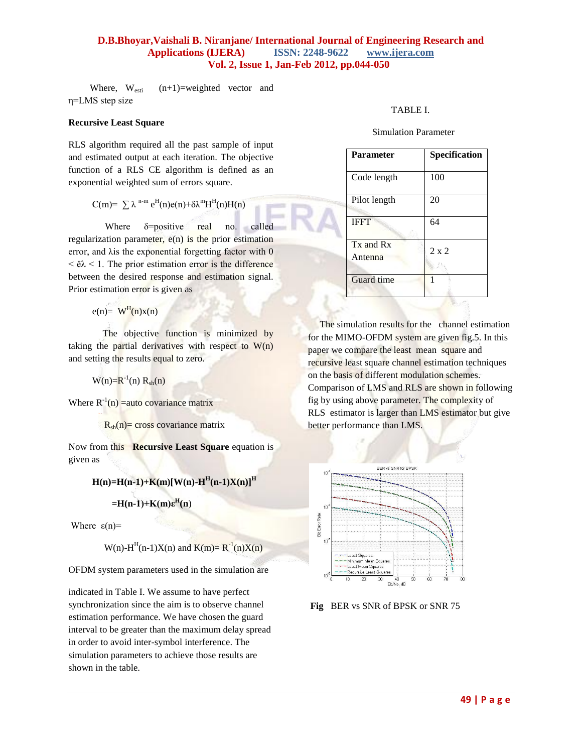Where,  $W_{\text{esti}}$   $(n+1)$ =weighted vector and η=LMS step size

### **Recursive Least Square**

RLS algorithm required all the past sample of input and estimated output at each iteration. The objective function of a RLS CE algorithm is defined as an exponential weighted sum of errors square.

$$
C(m)=\sum \lambda^{n-m} e^{H}(n)e(n)+\delta \lambda^{m}H^{H}(n)H(n)
$$

Where  $\delta$ =positive real no. called regularization parameter, e(n) is the prior estimation error, and λis the exponential forgetting factor with 0  $\langle \dot{\mathbf{e}} \rangle \langle \dot{\mathbf{e}} \rangle$  = 1. The prior estimation error is the difference between the desired response and estimation signal. Prior estimation error is given as

 $e(n) = W<sup>H</sup>(n)x(n)$ 

The objective function is minimized by taking the partial derivatives with respect to  $W(n)$ and setting the results equal to zero.

 $W(n)=R^{-1}(n) R_{sh}(n)$ 

Where  $R^{-1}(n)$  = auto covariance matrix

 $R_{sh}(n)$ = cross covariance matrix

Now from this **Recursive Least Square** equation is given as

 $H(n)=H(n-1)+K(m)[W(n)-H<sup>H</sup>(n-1)X(n)]<sup>H</sup>$ 

 $=$ **H**(n-1)+**K**(m) $\epsilon$ <sup>H</sup>(n)

Where  $\varepsilon(n)$ =

 $W(n)$ -H<sup>H</sup>(n-1)X(n) and K(m)=  $R^{-1}(n)X(n)$ 

OFDM system parameters used in the simulation are

indicated in Table I. We assume to have perfect synchronization since the aim is to observe channel estimation performance. We have chosen the guard interval to be greater than the maximum delay spread in order to avoid inter-symbol interference. The simulation parameters to achieve those results are shown in the table.

### TABLE I.

Simulation Parameter

| <b>Parameter</b>         | Specification |
|--------------------------|---------------|
| Code length              | 100           |
| Pilot length             | 20            |
| <b>IFFT</b>              | 64            |
| $Tx$ and $Rx$<br>Antenna | $2 \times 2$  |
| Guard time               |               |

The simulation results for the channel estimation for the MIMO-OFDM system are given fig.5. In this paper we compare the least mean square and recursive least square channel estimation techniques on the basis of different modulation schemes. Comparison of LMS and RLS are shown in following fig by using above parameter. The complexity of RLS estimator is larger than LMS estimator but give better performance than LMS.



**Fig** BER vs SNR of BPSK or SNR 75